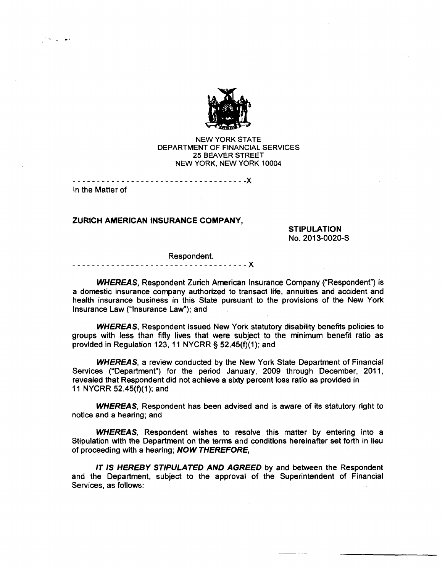

NEW YORK STATE DEPARTMENT OF FINANCIAL SERVICES 25 BEAVER STREET NEW YORK, NEW YORK 10004

- - - - - - - - - - - - - - - - - - - - - - - - - - - - - - - - - - - -X In the Matter of

...., ..

### **ZURICH AMERICAN INSURANCE COMPANY,**

**STIPULATION**  No. 2013-0020-S

#### Respondent.

**------------------------------------X** 

**WHEREAS,** Respondent Zurich American Insurance Company ("Respondent") is a domestic insurance company authorized to transact life, annuities and accident and health insurance business in this State pursuant to the provisions of the New York Insurance Law ("Insurance Law"); and

**WHEREAS,** Respondent issued New York statutory disability benefits policies to groups with less than fifty lives that were subject to the minimum benefit ratio as provided in Regulation 123, 11 NYCRR § 52.45(f)(1); and

**WHEREAS,** a review conducted by the New York State Department of Financial Services ("Department") for the period January, 2009 through December, 2011, revealed that Respondent did not achieve a sixty percent loss ratio as provided in 11 NYCRR 52.45(f)(1); and

**WHEREAS,** Respondent has been advised and is aware of its statutory right to notice and a hearing; and

**WHEREAS,** Respondent wishes to resolve this matter by entering into a Stipulation with the Department on the terms and conditions hereinafter set forth in lieu of proceeding with a hearing; **NOW THEREFORE,** 

IT **IS HEREBY STIPULATED AND AGREED** by and between the Respondent and the Department, subject to the approval of the Superintendent of Financial Services, as follows: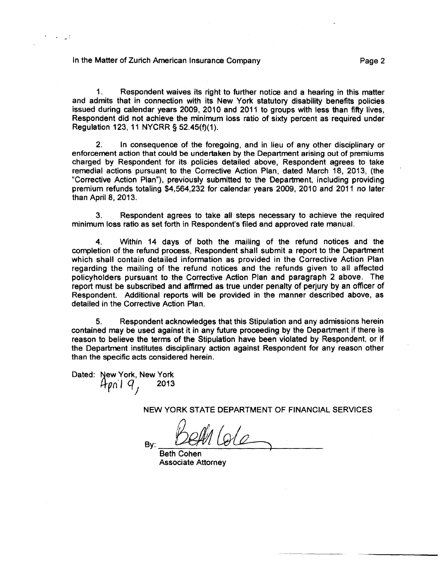### In the Matter of Zurich American Insurance Company **Example 2** Page 2

1. Respondent waives its right to further notice and a hearing in this matter and admits that in connection with its New York statutory disability benefits policies issued during calendar years 2009, 2010 and 2011 to groups with less than fifty lives, Respondent did not achieve the minimum loss ratio of sixty percent as required under Regulation 123, 11 NYCRR § 52.45(f)(1).

2. In consequence of the foregoing, and in lieu of any other disciplinary or enforcement action that could be undertaken by the Department arising out of premiums charged by Respondent for its policies detailed above, Respondent agrees to take remedial actions pursuant to the Corrective Action Plan, dated March 18, 2013, (the "Corrective Action Plan"), previously submitted to the Department, including providing premium refunds totaling \$4,564,232 for calendar years 2009, 2010 and 2011 no later than April 8, 2013.

3. Respondent agrees to take all steps necessary to achieve the required minimum loss ratio as set forth in Respondent's filed and approved rate manual.

4. Within 14 days of both the mailing of the refund notices and the completion of the refund process, Respondent shall submit a report to the Department which shall contain detailed information as provided in the Corrective Action Plan regarding the mailing of the refund notices and the refunds given to all affected policyholders pursuant to the Corrective Action Plan and paragraph 2 above. The report must be subscribed and affirmed as true under penalty of perjury by an officer of Respondent. Additional reports will be provided in the manner described above, as detailed in the Corrective Action Plan.

5. Respondent acknowledges that this Stipulation and any admissions herein contained may be used against it in any future proceeding by the Department if there is reason to believe the terms of the Stipulation have been violated by Respondent, or if the Department institutes disciplinary action against Respondent for any reason other than the specific acts considered herein.

Dated: New York, New York  $4p_0$ i q, 2013 *1* 

NEW YORK STATE DEPARTMENT OF FINANCIAL SERVICES

 $B_{\text{By:}}$   $\frac{\text{D}\text{e}\text{M}}{\text{D}\text{e}\text{M}}$ 

Beth Cohen Associate Attorney